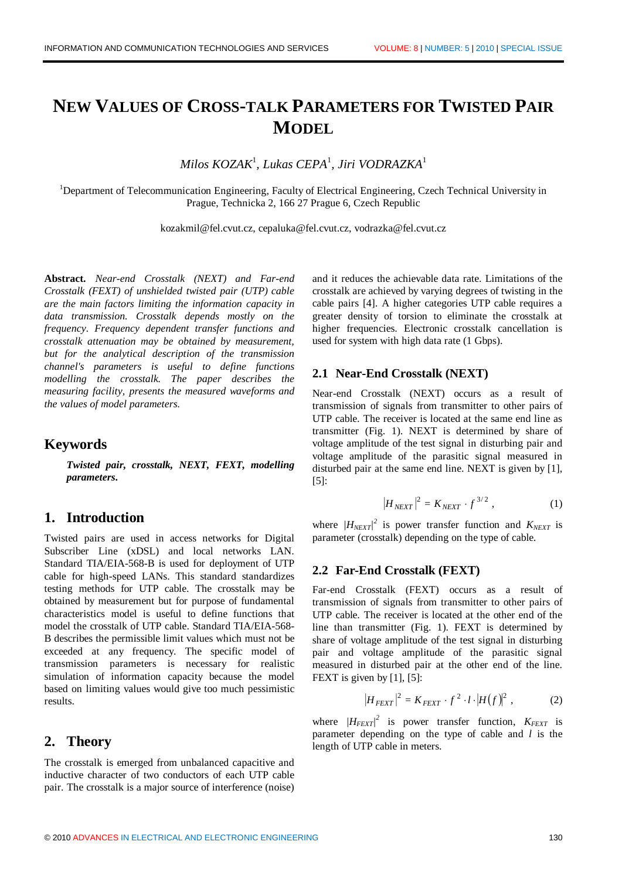# **NEW VALUES OF CROSS-TALK PARAMETERS FOR TWISTED PAIR MODEL**

*Milos KOZAK*<sup>1</sup> *, Lukas CEPA*<sup>1</sup> *, Jiri VODRAZKA*<sup>1</sup>

<sup>1</sup>Department of Telecommunication Engineering, Faculty of Electrical Engineering, Czech Technical University in Prague, Technicka 2, 166 27 Prague 6, Czech Republic

kozakmil@fel.cvut.cz, cepaluka@fel.cvut.cz, vodrazka@fel.cvut.cz

**Abstract.** *Near-end Crosstalk (NEXT) and Far-end Crosstalk (FEXT) of unshielded twisted pair (UTP) cable are the main factors limiting the information capacity in data transmission. Crosstalk depends mostly on the frequency. Frequency dependent transfer functions and crosstalk attenuation may be obtained by measurement, but for the analytical description of the transmission channel's parameters is useful to define functions modelling the crosstalk. The paper describes the measuring facility, presents the measured waveforms and the values of model parameters.*

### **Keywords**

*Twisted pair, crosstalk, NEXT, FEXT, modelling parameters***.**

# **1. Introduction**

Twisted pairs are used in access networks for Digital Subscriber Line (xDSL) and local networks LAN. Standard TIA/EIA-568-B is used for deployment of UTP cable for high-speed LANs. This standard standardizes testing methods for UTP cable. The crosstalk may be obtained by measurement but for purpose of fundamental characteristics model is useful to define functions that model the crosstalk of UTP cable. Standard TIA/EIA-568- B describes the permissible limit values which must not be exceeded at any frequency. The specific model of transmission parameters is necessary for realistic simulation of information capacity because the model based on limiting values would give too much pessimistic results.

### **2. Theory**

The crosstalk is emerged from unbalanced capacitive and inductive character of two conductors of each UTP cable pair. The crosstalk is a major source of interference (noise)

and it reduces the achievable data rate. Limitations of the crosstalk are achieved by varying degrees of twisting in the cable pairs [4]. A higher categories UTP cable requires a greater density of torsion to eliminate the crosstalk at higher frequencies. Electronic crosstalk cancellation is used for system with high data rate (1 Gbps).

#### **2.1 Near-End Crosstalk (NEXT)**

Near-end Crosstalk (NEXT) occurs as a result of transmission of signals from transmitter to other pairs of UTP cable. The receiver is located at the same end line as transmitter (Fig. 1). NEXT is determined by share of voltage amplitude of the test signal in disturbing pair and voltage amplitude of the parasitic signal measured in disturbed pair at the same end line. NEXT is given by [1], [5]:

$$
|H_{NEXT}|^2 = K_{NEXT} \cdot f^{3/2} \,, \tag{1}
$$

where  $/H_{NEXT}$ <sup>2</sup> is power transfer function and  $K_{NEXT}$  is parameter (crosstalk) depending on the type of cable.

#### **2.2 Far-End Crosstalk (FEXT)**

Far-end Crosstalk (FEXT) occurs as a result of transmission of signals from transmitter to other pairs of UTP cable. The receiver is located at the other end of the line than transmitter (Fig. 1). FEXT is determined by share of voltage amplitude of the test signal in disturbing pair and voltage amplitude of the parasitic signal measured in disturbed pair at the other end of the line. FEXT is given by [1], [5]:

$$
\left|H_{FEXT}\right|^2 = K_{FEXT} \cdot f^2 \cdot l \cdot \left|H(f)\right|^2,\tag{2}
$$

where  $/H_{FEXT}$ <sup>2</sup> is power transfer function,  $K_{FEXT}$  is parameter depending on the type of cable and *l* is the length of UTP cable in meters.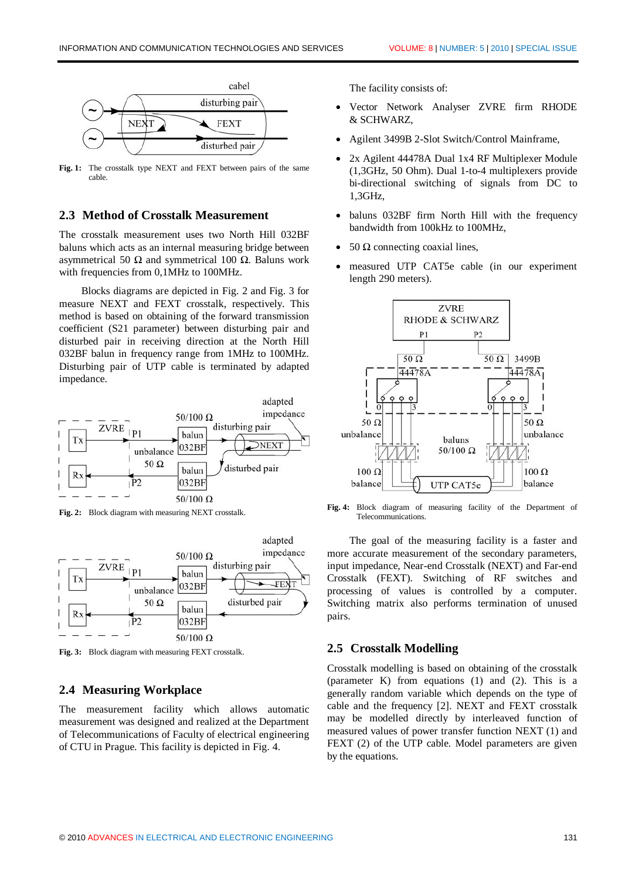

**Fig. 1:** The crosstalk type NEXT and FEXT between pairs of the same cable.

#### **2.3 Method of Crosstalk Measurement**

The crosstalk measurement uses two North Hill 032BF baluns which acts as an internal measuring bridge between asymmetrical 50 Ω and symmetrical 100 Ω. Baluns work with frequencies from 0,1MHz to 100MHz.

Blocks diagrams are depicted in Fig. 2 and Fig. 3 for measure NEXT and FEXT crosstalk, respectively. This method is based on obtaining of the forward transmission coefficient (S21 parameter) between disturbing pair and disturbed pair in receiving direction at the North Hill 032BF balun in frequency range from 1MHz to 100MHz. Disturbing pair of UTP cable is terminated by adapted impedance.



**Fig. 2:** Block diagram with measuring NEXT crosstalk.



**Fig. 3:** Block diagram with measuring FEXT crosstalk.

#### **2.4 Measuring Workplace**

The measurement facility which allows automatic measurement was designed and realized at the Department of Telecommunications of Faculty of electrical engineering of CTU in Prague. This facility is depicted in Fig. 4.

The facility consists of:

- · Vector Network Analyser ZVRE firm RHODE & SCHWARZ,
- Agilent 3499B 2-Slot Switch/Control Mainframe,
- 2x Agilent 44478A Dual 1x4 RF Multiplexer Module (1,3GHz, 50 Ohm). Dual 1-to-4 multiplexers provide bi-directional switching of signals from DC to 1,3GHz,
- baluns 032BF firm North Hill with the frequency bandwidth from 100kHz to 100MHz,
- 50 Ω connecting coaxial lines,
- measured UTP CAT5e cable (in our experiment length 290 meters).



**Fig. 4:** Block diagram of measuring facility of the Department of Telecommunications.

The goal of the measuring facility is a faster and more accurate measurement of the secondary parameters, input impedance, Near-end Crosstalk (NEXT) and Far-end Crosstalk (FEXT). Switching of RF switches and processing of values is controlled by a computer. Switching matrix also performs termination of unused pairs.

#### **2.5 Crosstalk Modelling**

Crosstalk modelling is based on obtaining of the crosstalk (parameter K) from equations (1) and (2). This is a generally random variable which depends on the type of cable and the frequency [2]. NEXT and FEXT crosstalk may be modelled directly by interleaved function of measured values of power transfer function NEXT (1) and FEXT (2) of the UTP cable. Model parameters are given by the equations.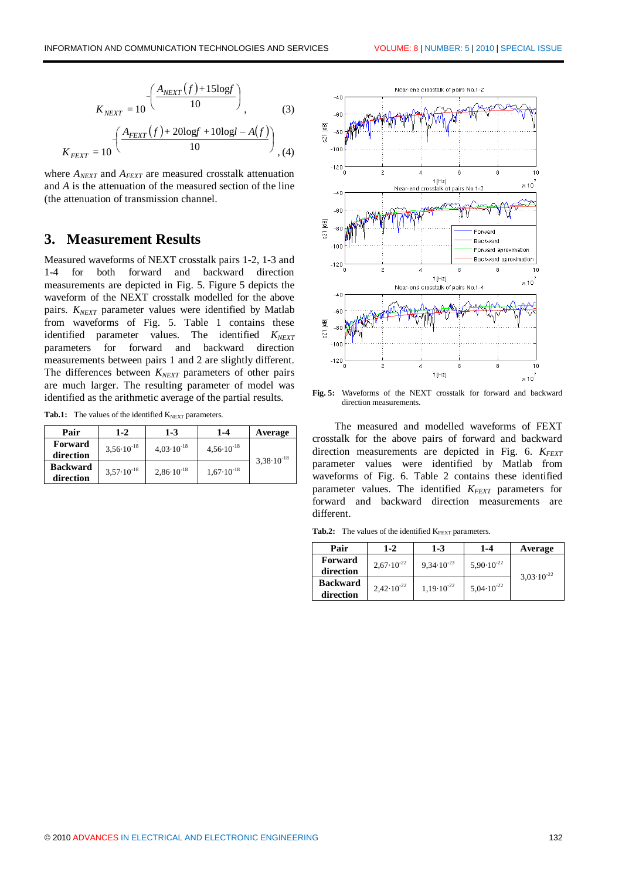$$
K_{NEXT} = 10 \left(\frac{A_{NEXT}(f) + 15\log f}{10}\right)
$$
\n
$$
K_{FEXT} = 10 \left(\frac{A_{FEXT}(f) + 20\log f + 10\log l - A(f)}{10}\right)
$$
\n(4)

where *ANEXT* and *AFEXT* are measured crosstalk attenuation and *A* is the attenuation of the measured section of the line (the attenuation of transmission channel.

## **3. Measurement Results**

Measured waveforms of NEXT crosstalk pairs 1-2, 1-3 and 1-4 for both forward and backward direction measurements are depicted in Fig. 5. Figure 5 depicts the waveform of the NEXT crosstalk modelled for the above pairs. *KNEXT* parameter values were identified by Matlab from waveforms of Fig. 5. Table 1 contains these identified parameter values. The identified  $K_{NEXT}$ parameters for forward and backward direction measurements between pairs 1 and 2 are slightly different. The differences between *K<sub>NEXT*</sub> parameters of other pairs are much larger. The resulting parameter of model was identified as the arithmetic average of the partial results.

Tab.1: The values of the identified K<sub>NEXT</sub> parameters.

| Pair            | $1 - 2$               | $1 - 3$               | $1 - 4$               | Average               |
|-----------------|-----------------------|-----------------------|-----------------------|-----------------------|
| Forward         | $3,56 \cdot 10^{-18}$ | $4,03\cdot10^{-18}$   | $4,56\cdot10^{-18}$   | $3,38 \cdot 10^{-18}$ |
| direction       |                       |                       |                       |                       |
| <b>Backward</b> | $3.57 \cdot 10^{-18}$ | $2,86 \cdot 10^{-18}$ | $1,67 \cdot 10^{-18}$ |                       |
| direction       |                       |                       |                       |                       |



**Fig. 5:** Waveforms of the NEXT crosstalk for forward and backward direction measurements.

The measured and modelled waveforms of FEXT crosstalk for the above pairs of forward and backward direction measurements are depicted in Fig. 6. *KFEXT* parameter values were identified by Matlab from waveforms of Fig. 6. Table 2 contains these identified parameter values. The identified *KFEXT* parameters for forward and backward direction measurements are different.

Tab.2: The values of the identified K<sub>FEXT</sub> parameters.

| Pair            | $1 - 2$               | $1 - 3$               | 1-4                   | Average               |
|-----------------|-----------------------|-----------------------|-----------------------|-----------------------|
| Forward         | $2,67 \cdot 10^{-22}$ | $9,34 \cdot 10^{-23}$ | $5,90 \cdot 10^{-22}$ | $3,03 \cdot 10^{-22}$ |
| direction       |                       |                       |                       |                       |
| <b>Backward</b> | $2,42 \cdot 10^{-22}$ | $1.19 \cdot 10^{-22}$ | $5,04 \cdot 10^{-22}$ |                       |
| direction       |                       |                       |                       |                       |